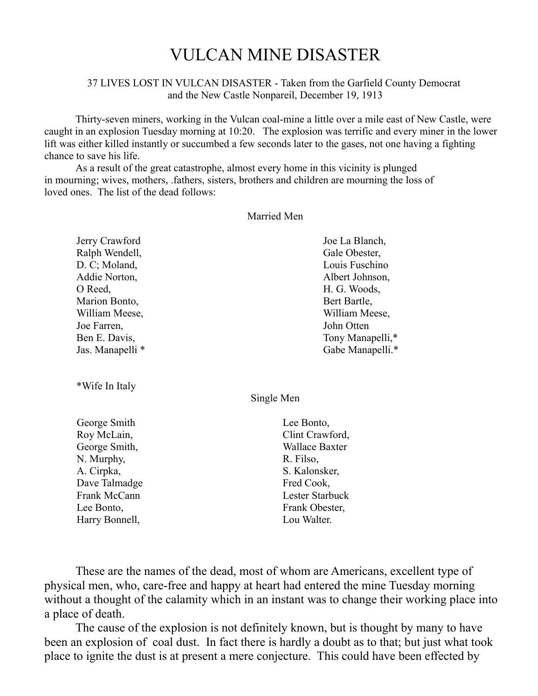# VULCAN MINE DISASTER

#### 37 LIVES LOST IN VULCAN DISASTER - Taken from the Garfield County Democrat and the New Castle Nonpareil, December 19, 1913

Thirty-seven miners, working in the Vulcan coal-mine a little over a mile east of New Castle, were caught in an explosion Tuesday morning at 10:20. The explosion was terrific and every miner in the lower lift was either killed instantly or succumbed a few seconds later to the gases, not one having a fighting chance to save his life.

As a result of the great catastrophe, almost every home in this vicinity is plunged in mourning; wives, mothers, .fathers, sisters, brothers and children are mourning the loss of loved ones. The list of the dead follows:

#### Married Men

| Joe La Blanch,   |
|------------------|
| Gale Obester,    |
| Louis Fuschino   |
| Albert Johnson,  |
| H. G. Woods,     |
| Bert Bartle,     |
| William Meese,   |
| John Otten       |
| Tony Manapelli,* |
| Gabe Manapelli.* |
|                  |

\*Wife In Italy

Single Men

George Smith Roy McLain, George Smith, N. Murphy, A. Cirpka, Dave Talmadge Frank McCann Lee Bonto, Harry Bonnell,

Lee Bonto, Clint Crawford, Wallace Baxter R. Filso, S. Kalonsker, Fred Cook, Lester Starbuck Frank Obester, Lou Walter.

These are the names of the dead, most of whom are Americans, excellent type of physical men, who, care-free and happy at heart had entered the mine Tuesday morning without a thought of the calamity which in an instant was to change their working place into a place of death.

The cause of the explosion is not definitely known, but is thought by many to have been an explosion of coal dust. In fact there is hardly a doubt as to that; but just what took place to ignite the dust is at present a mere conjecture. This could have been effected by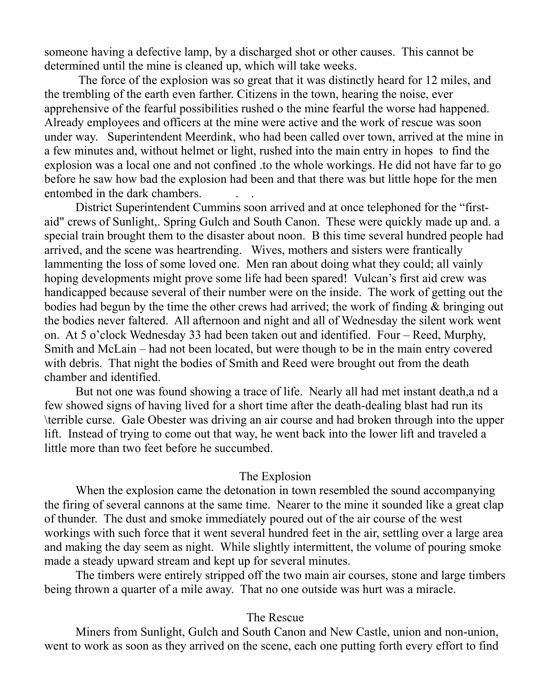someone having a defective lamp, by a discharged shot or other causes. This cannot be determined until the mine is cleaned up, which will take weeks.

 The force of the explosion was so great that it was distinctly heard for 12 miles, and the trembling of the earth even farther. Citizens in the town, hearing the noise, ever apprehensive of the fearful possibilities rushed o the mine fearful the worse had happened. Already employees and officers at the mine were active and the work of rescue was soon under way. Superintendent Meerdink, who had been called over town, arrived at the mine in a few minutes and, without helmet or light, rushed into the main entry in hopes to find the explosion was a local one and not confined .to the whole workings. He did not have far to go before he saw how bad the explosion had been and that there was but little hope for the men entombed in the dark chambers. . .

District Superintendent Cummins soon arrived and at once telephoned for the "firstaid" crews of Sunlight,. Spring Gulch and South Canon. These were quickly made up and. a special train brought them to the disaster about noon. B this time several hundred people had arrived, and the scene was heartrending. Wives, mothers and sisters were frantically lammenting the loss of some loved one. Men ran about doing what they could; all vainly hoping developments might prove some life had been spared! Vulcan's first aid crew was handicapped because several of their number were on the inside. The work of getting out the bodies had begun by the time the other crews had arrived; the work of finding & bringing out the bodies never faltered. All afternoon and night and all of Wednesday the silent work went on. At 5 o'clock Wednesday 33 had been taken out and identified. Four – Reed, Murphy, Smith and McLain – had not been located, but were though to be in the main entry covered with debris. That night the bodies of Smith and Reed were brought out from the death chamber and identified.

But not one was found showing a trace of life. Nearly all had met instant death,a nd a few showed signs of having lived for a short time after the death-dealing blast had run its \terrible curse. Gale Obester was driving an air course and had broken through into the upper lift. Instead of trying to come out that way, he went back into the lower lift and traveled a little more than two feet before he succumbed.

#### The Explosion

When the explosion came the detonation in town resembled the sound accompanying the firing of several cannons at the same time. Nearer to the mine it sounded like a great clap of thunder. The dust and smoke immediately poured out of the air course of the west workings with such force that it went several hundred feet in the air, settling over a large area and making the day seem as night. While slightly intermittent, the volume of pouring smoke made a steady upward stream and kept up for several minutes.

The timbers were entirely stripped off the two main air courses, stone and large timbers being thrown a quarter of a mile away. That no one outside was hurt was a miracle.

### The Rescue

Miners from Sunlight, Gulch and South Canon and New Castle, union and non-union, went to work as soon as they arrived on the scene, each one putting forth every effort to find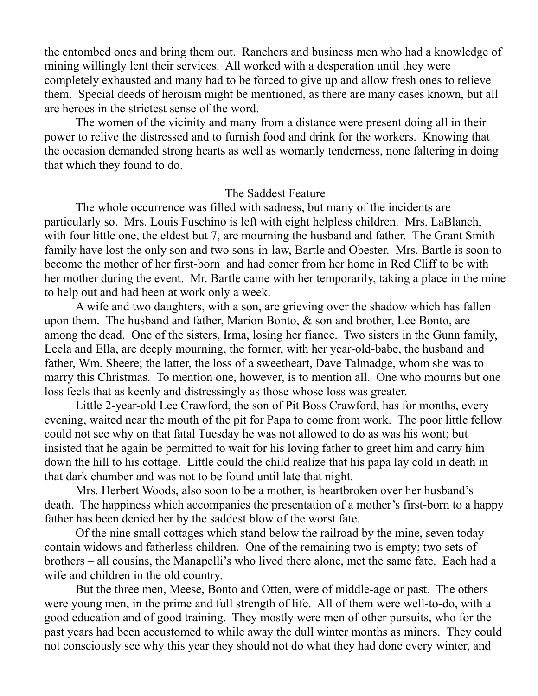the entombed ones and bring them out. Ranchers and business men who had a knowledge of mining willingly lent their services. All worked with a desperation until they were completely exhausted and many had to be forced to give up and allow fresh ones to relieve them. Special deeds of heroism might be mentioned, as there are many cases known, but all are heroes in the strictest sense of the word.

The women of the vicinity and many from a distance were present doing all in their power to relive the distressed and to furnish food and drink for the workers. Knowing that the occasion demanded strong hearts as well as womanly tenderness, none faltering in doing that which they found to do.

# The Saddest Feature

The whole occurrence was filled with sadness, but many of the incidents are particularly so. Mrs. Louis Fuschino is left with eight helpless children. Mrs. LaBlanch, with four little one, the eldest but 7, are mourning the husband and father. The Grant Smith family have lost the only son and two sons-in-law, Bartle and Obester. Mrs. Bartle is soon to become the mother of her first-born and had comer from her home in Red Cliff to be with her mother during the event. Mr. Bartle came with her temporarily, taking a place in the mine to help out and had been at work only a week.

A wife and two daughters, with a son, are grieving over the shadow which has fallen upon them. The husband and father, Marion Bonto, & son and brother, Lee Bonto, are among the dead. One of the sisters, Irma, losing her fiance. Two sisters in the Gunn family, Leela and Ella, are deeply mourning, the former, with her year-old-babe, the husband and father, Wm. Sheere; the latter, the loss of a sweetheart, Dave Talmadge, whom she was to marry this Christmas. To mention one, however, is to mention all. One who mourns but one loss feels that as keenly and distressingly as those whose loss was greater.

Little 2-year-old Lee Crawford, the son of Pit Boss Crawford, has for months, every evening, waited near the mouth of the pit for Papa to come from work. The poor little fellow could not see why on that fatal Tuesday he was not allowed to do as was his wont; but insisted that he again be permitted to wait for his loving father to greet him and carry him down the hill to his cottage. Little could the child realize that his papa lay cold in death in that dark chamber and was not to be found until late that night.

Mrs. Herbert Woods, also soon to be a mother, is heartbroken over her husband's death. The happiness which accompanies the presentation of a mother's first-born to a happy father has been denied her by the saddest blow of the worst fate.

Of the nine small cottages which stand below the railroad by the mine, seven today contain widows and fatherless children. One of the remaining two is empty; two sets of brothers – all cousins, the Manapelli's who lived there alone, met the same fate. Each had a wife and children in the old country.

But the three men, Meese, Bonto and Otten, were of middle-age or past. The others were young men, in the prime and full strength of life. All of them were well-to-do, with a good education and of good training. They mostly were men of other pursuits, who for the past years had been accustomed to while away the dull winter months as miners. They could not consciously see why this year they should not do what they had done every winter, and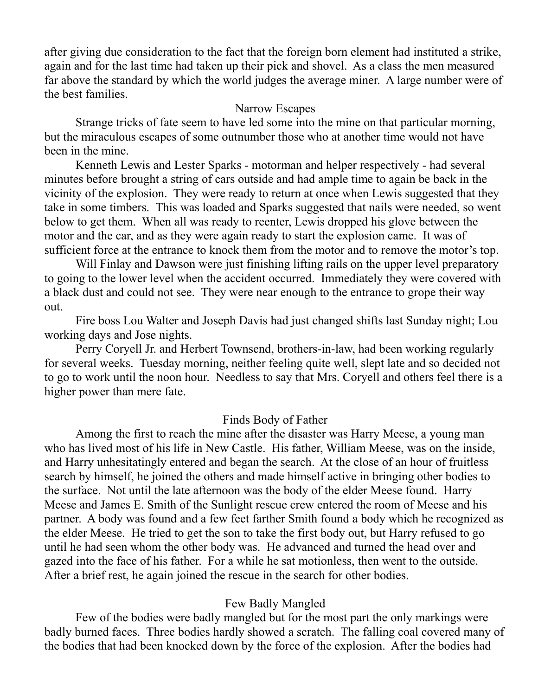after giving due consideration to the fact that the foreign born element had instituted a strike, again and for the last time had taken up their pick and shovel. As a class the men measured far above the standard by which the world judges the average miner. A large number were of the best families.

# Narrow Escapes

Strange tricks of fate seem to have led some into the mine on that particular morning, but the miraculous escapes of some outnumber those who at another time would not have been in the mine.

Kenneth Lewis and Lester Sparks - motorman and helper respectively - had several minutes before brought a string of cars outside and had ample time to again be back in the vicinity of the explosion. They were ready to return at once when Lewis suggested that they take in some timbers. This was loaded and Sparks suggested that nails were needed, so went below to get them. When all was ready to reenter, Lewis dropped his glove between the motor and the car, and as they were again ready to start the explosion came. It was of sufficient force at the entrance to knock them from the motor and to remove the motor's top.

Will Finlay and Dawson were just finishing lifting rails on the upper level preparatory to going to the lower level when the accident occurred. Immediately they were covered with a black dust and could not see. They were near enough to the entrance to grope their way out.

Fire boss Lou Walter and Joseph Davis had just changed shifts last Sunday night; Lou working days and Jose nights.

Perry Coryell Jr. and Herbert Townsend, brothers-in-law, had been working regularly for several weeks. Tuesday morning, neither feeling quite well, slept late and so decided not to go to work until the noon hour. Needless to say that Mrs. Coryell and others feel there is a higher power than mere fate.

# Finds Body of Father

Among the first to reach the mine after the disaster was Harry Meese, a young man who has lived most of his life in New Castle. His father, William Meese, was on the inside, and Harry unhesitatingly entered and began the search. At the close of an hour of fruitless search by himself, he joined the others and made himself active in bringing other bodies to the surface. Not until the late afternoon was the body of the elder Meese found. Harry Meese and James E. Smith of the Sunlight rescue crew entered the room of Meese and his partner. A body was found and a few feet farther Smith found a body which he recognized as the elder Meese. He tried to get the son to take the first body out, but Harry refused to go until he had seen whom the other body was. He advanced and turned the head over and gazed into the face of his father. For a while he sat motionless, then went to the outside. After a brief rest, he again joined the rescue in the search for other bodies.

# Few Badly Mangled

Few of the bodies were badly mangled but for the most part the only markings were badly burned faces. Three bodies hardly showed a scratch. The falling coal covered many of the bodies that had been knocked down by the force of the explosion. After the bodies had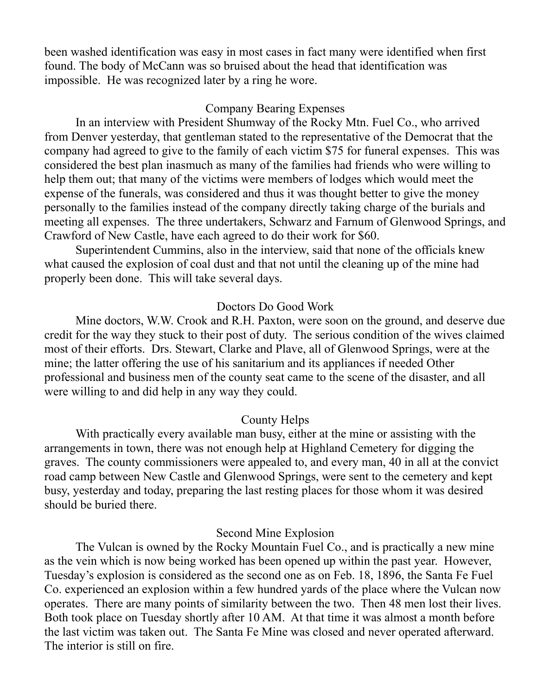been washed identification was easy in most cases in fact many were identified when first found. The body of McCann was so bruised about the head that identification was impossible. He was recognized later by a ring he wore.

# Company Bearing Expenses

In an interview with President Shumway of the Rocky Mtn. Fuel Co., who arrived from Denver yesterday, that gentleman stated to the representative of the Democrat that the company had agreed to give to the family of each victim \$75 for funeral expenses. This was considered the best plan inasmuch as many of the families had friends who were willing to help them out; that many of the victims were members of lodges which would meet the expense of the funerals, was considered and thus it was thought better to give the money personally to the families instead of the company directly taking charge of the burials and meeting all expenses. The three undertakers, Schwarz and Farnum of Glenwood Springs, and Crawford of New Castle, have each agreed to do their work for \$60.

Superintendent Cummins, also in the interview, said that none of the officials knew what caused the explosion of coal dust and that not until the cleaning up of the mine had properly been done. This will take several days.

# Doctors Do Good Work

Mine doctors, W.W. Crook and R.H. Paxton, were soon on the ground, and deserve due credit for the way they stuck to their post of duty. The serious condition of the wives claimed most of their efforts. Drs. Stewart, Clarke and Plave, all of Glenwood Springs, were at the mine; the latter offering the use of his sanitarium and its appliances if needed Other professional and business men of the county seat came to the scene of the disaster, and all were willing to and did help in any way they could.

### County Helps

With practically every available man busy, either at the mine or assisting with the arrangements in town, there was not enough help at Highland Cemetery for digging the graves. The county commissioners were appealed to, and every man, 40 in all at the convict road camp between New Castle and Glenwood Springs, were sent to the cemetery and kept busy, yesterday and today, preparing the last resting places for those whom it was desired should be buried there.

### Second Mine Explosion

The Vulcan is owned by the Rocky Mountain Fuel Co., and is practically a new mine as the vein which is now being worked has been opened up within the past year. However, Tuesday's explosion is considered as the second one as on Feb. 18, 1896, the Santa Fe Fuel Co. experienced an explosion within a few hundred yards of the place where the Vulcan now operates. There are many points of similarity between the two. Then 48 men lost their lives. Both took place on Tuesday shortly after 10 AM. At that time it was almost a month before the last victim was taken out. The Santa Fe Mine was closed and never operated afterward. The interior is still on fire.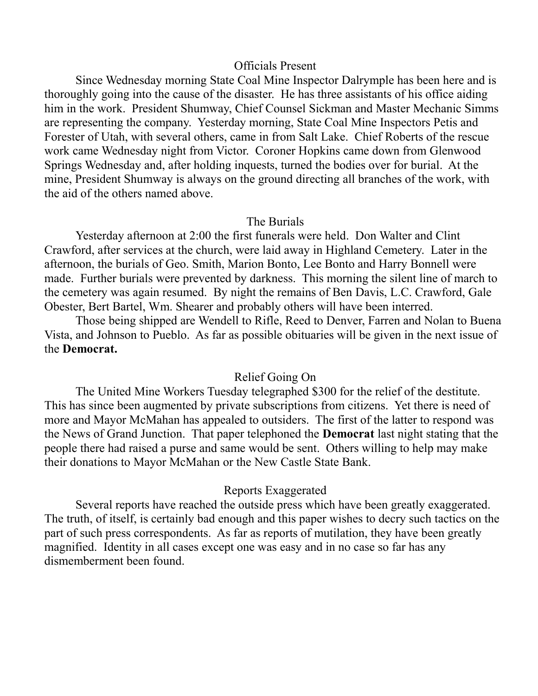# Officials Present

Since Wednesday morning State Coal Mine Inspector Dalrymple has been here and is thoroughly going into the cause of the disaster. He has three assistants of his office aiding him in the work. President Shumway, Chief Counsel Sickman and Master Mechanic Simms are representing the company. Yesterday morning, State Coal Mine Inspectors Petis and Forester of Utah, with several others, came in from Salt Lake. Chief Roberts of the rescue work came Wednesday night from Victor. Coroner Hopkins came down from Glenwood Springs Wednesday and, after holding inquests, turned the bodies over for burial. At the mine, President Shumway is always on the ground directing all branches of the work, with the aid of the others named above.

#### The Burials

Yesterday afternoon at 2:00 the first funerals were held. Don Walter and Clint Crawford, after services at the church, were laid away in Highland Cemetery. Later in the afternoon, the burials of Geo. Smith, Marion Bonto, Lee Bonto and Harry Bonnell were made. Further burials were prevented by darkness. This morning the silent line of march to the cemetery was again resumed. By night the remains of Ben Davis, L.C. Crawford, Gale Obester, Bert Bartel, Wm. Shearer and probably others will have been interred.

Those being shipped are Wendell to Rifle, Reed to Denver, Farren and Nolan to Buena Vista, and Johnson to Pueblo. As far as possible obituaries will be given in the next issue of the **Democrat.**

### Relief Going On

The United Mine Workers Tuesday telegraphed \$300 for the relief of the destitute. This has since been augmented by private subscriptions from citizens. Yet there is need of more and Mayor McMahan has appealed to outsiders. The first of the latter to respond was the News of Grand Junction. That paper telephoned the **Democrat** last night stating that the people there had raised a purse and same would be sent. Others willing to help may make their donations to Mayor McMahan or the New Castle State Bank.

#### Reports Exaggerated

Several reports have reached the outside press which have been greatly exaggerated. The truth, of itself, is certainly bad enough and this paper wishes to decry such tactics on the part of such press correspondents. As far as reports of mutilation, they have been greatly magnified. Identity in all cases except one was easy and in no case so far has any dismemberment been found.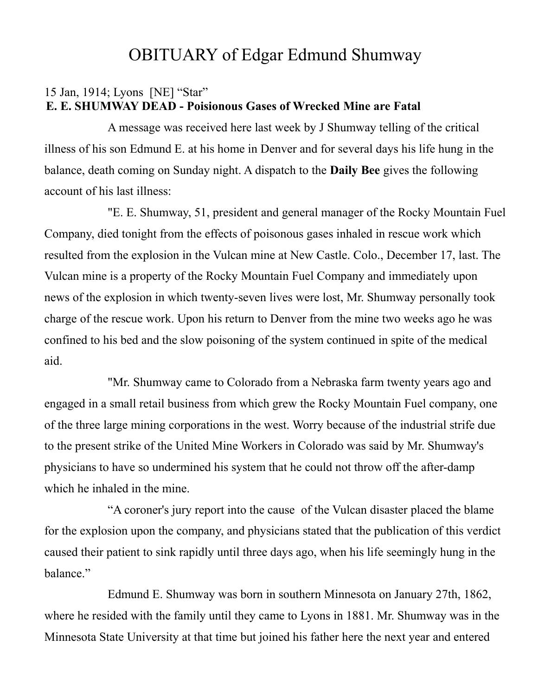# OBITUARY of Edgar Edmund Shumway

# 15 Jan, 1914; Lyons [NE] "Star" **E. E. SHUMWAY DEAD - Poisionous Gases of Wrecked Mine are Fatal**

A message was received here last week by J Shumway telling of the critical illness of his son Edmund E. at his home in Denver and for several days his life hung in the balance, death coming on Sunday night. A dispatch to the **Daily Bee** gives the following account of his last illness:

"E. E. Shumway, 51, president and general manager of the Rocky Mountain Fuel Company, died tonight from the effects of poisonous gases inhaled in rescue work which resulted from the explosion in the Vulcan mine at New Castle. Colo., December 17, last. The Vulcan mine is a property of the Rocky Mountain Fuel Company and immediately upon news of the explosion in which twenty-seven lives were lost, Mr. Shumway personally took charge of the rescue work. Upon his return to Denver from the mine two weeks ago he was confined to his bed and the slow poisoning of the system continued in spite of the medical aid.

"Mr. Shumway came to Colorado from a Nebraska farm twenty years ago and engaged in a small retail business from which grew the Rocky Mountain Fuel company, one of the three large mining corporations in the west. Worry because of the industrial strife due to the present strike of the United Mine Workers in Colorado was said by Mr. Shumway's physicians to have so undermined his system that he could not throw off the after-damp which he inhaled in the mine.

"A coroner's jury report into the cause of the Vulcan disaster placed the blame for the explosion upon the company, and physicians stated that the publication of this verdict caused their patient to sink rapidly until three days ago, when his life seemingly hung in the balance."

Edmund E. Shumway was born in southern Minnesota on January 27th, 1862, where he resided with the family until they came to Lyons in 1881. Mr. Shumway was in the Minnesota State University at that time but joined his father here the next year and entered